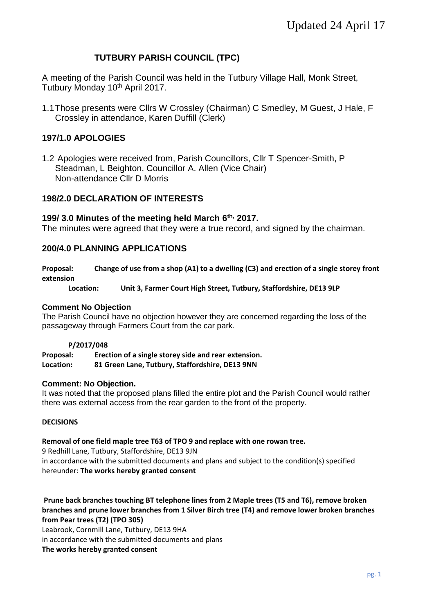## **TUTBURY PARISH COUNCIL (TPC)**

A meeting of the Parish Council was held in the Tutbury Village Hall, Monk Street, Tutbury Monday 10<sup>th</sup> April 2017.

1.1Those presents were Cllrs W Crossley (Chairman) C Smedley, M Guest, J Hale, F Crossley in attendance, Karen Duffill (Clerk)

## **197/1.0 APOLOGIES**

1.2 Apologies were received from, Parish Councillors, Cllr T Spencer-Smith, P Steadman, L Beighton, Councillor A. Allen (Vice Chair) Non-attendance Cllr D Morris

## **198/2.0 DECLARATION OF INTERESTS**

### **199/ 3.0 Minutes of the meeting held March 6 th, 2017.**

The minutes were agreed that they were a true record, and signed by the chairman.

## **200/4.0 PLANNING APPLICATIONS**

**Proposal: Change of use from a shop (A1) to a dwelling (C3) and erection of a single storey front extension**

#### **Location: Unit 3, Farmer Court High Street, Tutbury, Staffordshire, DE13 9LP**

#### **Comment No Objection**

The Parish Council have no objection however they are concerned regarding the loss of the passageway through Farmers Court from the car park.

#### **P/2017/048**

**Proposal: Erection of a single storey side and rear extension. Location: 81 Green Lane, Tutbury, Staffordshire, DE13 9NN**

#### **Comment: No Objection.**

It was noted that the proposed plans filled the entire plot and the Parish Council would rather there was external access from the rear garden to the front of the property.

#### **DECISIONS**

#### **Removal of one field maple tree T63 of TPO 9 and replace with one rowan tree.**

9 Redhill Lane, Tutbury, Staffordshire, DE13 9JN in accordance with the submitted documents and plans and subject to the condition(s) specified hereunder: **The works hereby granted consent**

**Prune back branches touching BT telephone lines from 2 Maple trees (T5 and T6), remove broken branches and prune lower branches from 1 Silver Birch tree (T4) and remove lower broken branches from Pear trees (T2) (TPO 305)** 

Leabrook, Cornmill Lane, Tutbury, DE13 9HA in accordance with the submitted documents and plans **The works hereby granted consent**